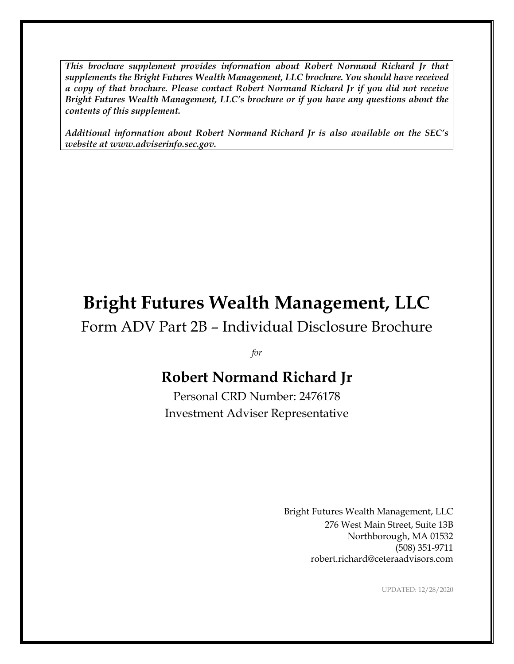*This brochure supplement provides information about Robert Normand Richard Jr that supplements the Bright Futures Wealth Management, LLC brochure. You should have received a copy of that brochure. Please contact Robert Normand Richard Jr if you did not receive Bright Futures Wealth Management, LLC's brochure or if you have any questions about the contents of this supplement.*

*Additional information about Robert Normand Richard Jr is also available on the SEC's website at www.adviserinfo.sec.gov.*

# **Bright Futures Wealth Management, LLC**

Form ADV Part 2B – Individual Disclosure Brochure

*for*

# **Robert Normand Richard Jr**

Personal CRD Number: 2476178 Investment Adviser Representative

> Bright Futures Wealth Management, LLC 276 West Main Street, Suite 13B Northborough, MA 01532 (508) 351-9711 robert.richard@ceteraadvisors.com

> > UPDATED: 12/28/2020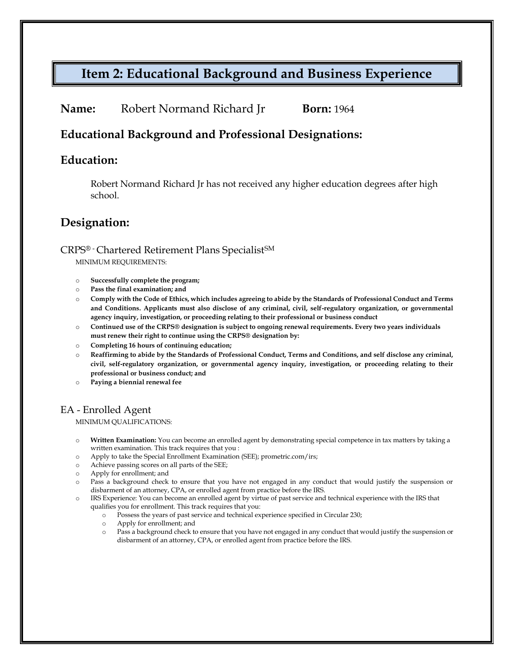## **Item 2: Educational Background and Business Experience**

**Name:** Robert Normand Richard Jr **Born:** 1964

#### **Educational Background and Professional Designations:**

#### **Education:**

Robert Normand Richard Jr has not received any higher education degrees after high school.

#### **Designation:**

#### CRPS® - Chartered Retirement Plans SpecialistSM

MINIMUM REQUIREMENTS:

- o **Successfully complete the program;**
- o **Pass the final examination; and**
- o **Comply with the Code of Ethics, which includes agreeing to abide by the Standards of Professional Conduct and Terms and Conditions. Applicants must also disclose of any criminal, civil, self-regulatory organization, or governmental agency inquiry, investigation, or proceeding relating to their professional or business conduct**
- o **Continued use of the CRPS® designation is subject to ongoing renewal requirements. Every two years individuals must renew their right to continue using the CRPS® designation by:**
- o **Completing 16 hours of continuing education;**
- o **Reaffirming to abide by the Standards of Professional Conduct, Terms and Conditions, and self disclose any criminal, civil, self-regulatory organization, or governmental agency inquiry, investigation, or proceeding relating to their professional or business conduct; and**
- o **Paying a biennial renewal fee**

#### EA - Enrolled Agent

MINIMUM QUALIFICATIONS:

- o **Written Examination:** You can become an enrolled agent by demonstrating special competence in tax matters by taking a written examination. This track requires that you :
- o Apply to take the Special Enrollment Examination (SEE); [prometric.com/irs;](http://www.irs.gov/app/scripts/exit.jsp?dest=http%3A%2F%2Fwww.prometric.com%2Firs)
- o Achieve passing scores on all parts of the SEE;
- o Apply for enrollment; and
- Pass a background check to ensure that you have not engaged in any conduct that would justify the suspension or disbarment of an attorney, CPA, or enrolled agent from practice before the IRS.
- o IRS Experience: You can become an enrolled agent by virtue of past service and technical experience with the IRS that qualifies you for enrollment. This track requires that you:
	- o Possess the years of past service and technical experience specified i[n Circular 230;](http://www.irs.gov/pub/irs-utl/pcir230.pdf)
	- o Apply for enrollment; and
	- o Pass a background check to ensure that you have not engaged in any conduct that would justify the suspension or disbarment of an attorney, CPA, or enrolled agent from practice before the IRS.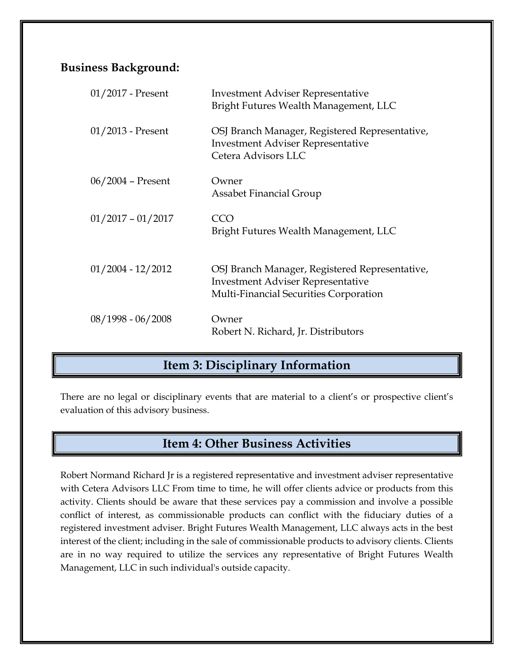### **Business Background:**

| 01/2017 - Present   | <b>Investment Adviser Representative</b><br>Bright Futures Wealth Management, LLC                                                    |
|---------------------|--------------------------------------------------------------------------------------------------------------------------------------|
| $01/2013$ - Present | OSJ Branch Manager, Registered Representative,<br><b>Investment Adviser Representative</b><br>Cetera Advisors LLC                    |
| $06/2004$ – Present | Owner<br>Assabet Financial Group                                                                                                     |
| $01/2017 - 01/2017$ | CCO<br>Bright Futures Wealth Management, LLC                                                                                         |
| $01/2004 - 12/2012$ | OSJ Branch Manager, Registered Representative,<br><b>Investment Adviser Representative</b><br>Multi-Financial Securities Corporation |
| $08/1998 - 06/2008$ | Owner<br>Robert N. Richard, Jr. Distributors                                                                                         |

# **Item 3: Disciplinary Information**

There are no legal or disciplinary events that are material to a client's or prospective client's evaluation of this advisory business.

### **Item 4: Other Business Activities**

Robert Normand Richard Jr is a registered representative and investment adviser representative with Cetera Advisors LLC From time to time, he will offer clients advice or products from this activity. Clients should be aware that these services pay a commission and involve a possible conflict of interest, as commissionable products can conflict with the fiduciary duties of a registered investment adviser. Bright Futures Wealth Management, LLC always acts in the best interest of the client; including in the sale of commissionable products to advisory clients. Clients are in no way required to utilize the services any representative of Bright Futures Wealth Management, LLC in such individual's outside capacity.